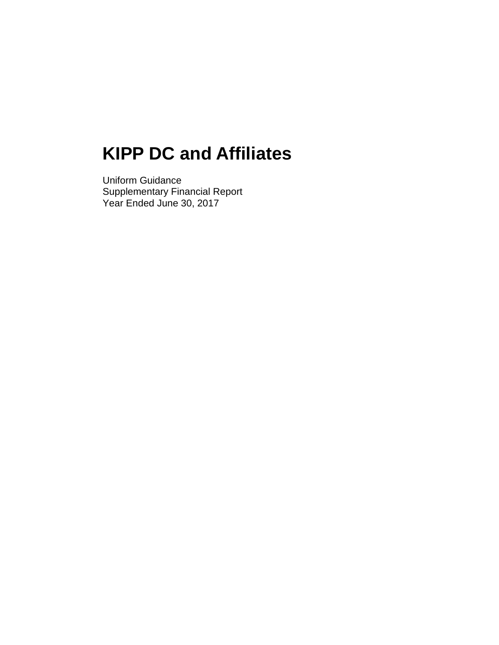Uniform Guidance Supplementary Financial Report Year Ended June 30, 2017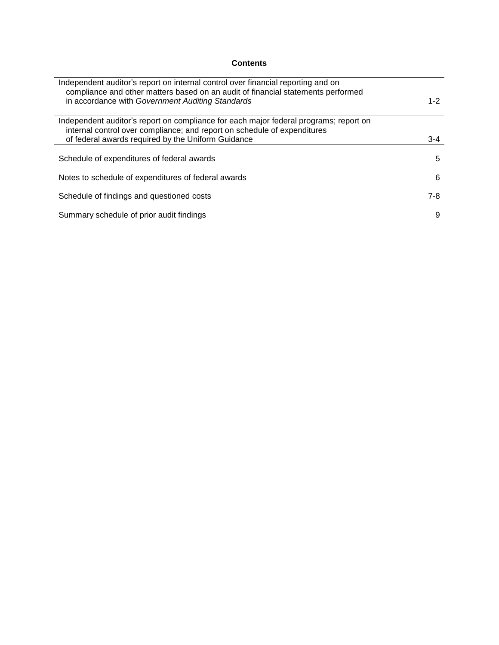# **Contents**

| Independent auditor's report on internal control over financial reporting and on      |         |
|---------------------------------------------------------------------------------------|---------|
| compliance and other matters based on an audit of financial statements performed      |         |
| in accordance with Government Auditing Standards                                      | $1 - 2$ |
|                                                                                       |         |
| Independent auditor's report on compliance for each major federal programs; report on |         |
| internal control over compliance; and report on schedule of expenditures              |         |
| of federal awards required by the Uniform Guidance                                    | $3 - 4$ |
|                                                                                       |         |
| Schedule of expenditures of federal awards                                            | 5       |
|                                                                                       |         |
| Notes to schedule of expenditures of federal awards                                   | 6       |
|                                                                                       |         |
| Schedule of findings and questioned costs                                             | $7 - 8$ |
| Summary schedule of prior audit findings                                              | 9       |
|                                                                                       |         |
|                                                                                       |         |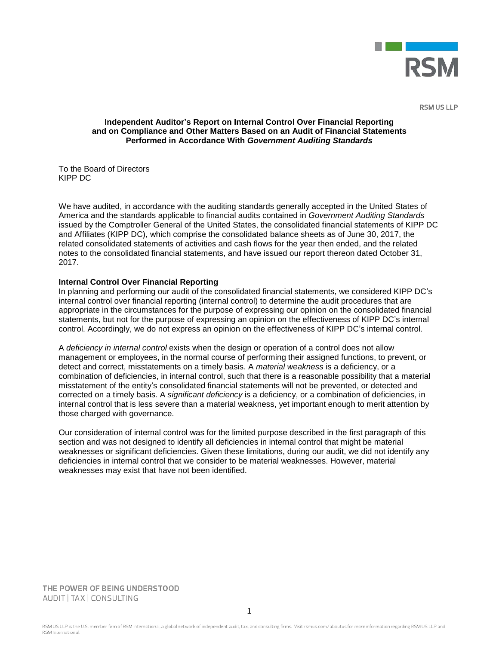

**RSM US LLP** 

## **Independent Auditor's Report on Internal Control Over Financial Reporting and on Compliance and Other Matters Based on an Audit of Financial Statements Performed in Accordance With** *Government Auditing Standards*

To the Board of Directors KIPP DC

We have audited, in accordance with the auditing standards generally accepted in the United States of America and the standards applicable to financial audits contained in *Government Auditing Standards* issued by the Comptroller General of the United States, the consolidated financial statements of KIPP DC and Affiliates (KIPP DC), which comprise the consolidated balance sheets as of June 30, 2017, the related consolidated statements of activities and cash flows for the year then ended, and the related notes to the consolidated financial statements, and have issued our report thereon dated October 31, 2017.

#### **Internal Control Over Financial Reporting**

In planning and performing our audit of the consolidated financial statements, we considered KIPP DC's internal control over financial reporting (internal control) to determine the audit procedures that are appropriate in the circumstances for the purpose of expressing our opinion on the consolidated financial statements, but not for the purpose of expressing an opinion on the effectiveness of KIPP DC's internal control. Accordingly, we do not express an opinion on the effectiveness of KIPP DC's internal control.

A *deficiency in internal control* exists when the design or operation of a control does not allow management or employees, in the normal course of performing their assigned functions, to prevent, or detect and correct, misstatements on a timely basis. A *material weakness* is a deficiency, or a combination of deficiencies, in internal control, such that there is a reasonable possibility that a material misstatement of the entity's consolidated financial statements will not be prevented, or detected and corrected on a timely basis. A *significant deficiency* is a deficiency, or a combination of deficiencies, in internal control that is less severe than a material weakness, yet important enough to merit attention by those charged with governance.

Our consideration of internal control was for the limited purpose described in the first paragraph of this section and was not designed to identify all deficiencies in internal control that might be material weaknesses or significant deficiencies. Given these limitations, during our audit, we did not identify any deficiencies in internal control that we consider to be material weaknesses. However, material weaknesses may exist that have not been identified.

THE POWER OF BEING UNDERSTOOD AUDIT | TAX | CONSULTING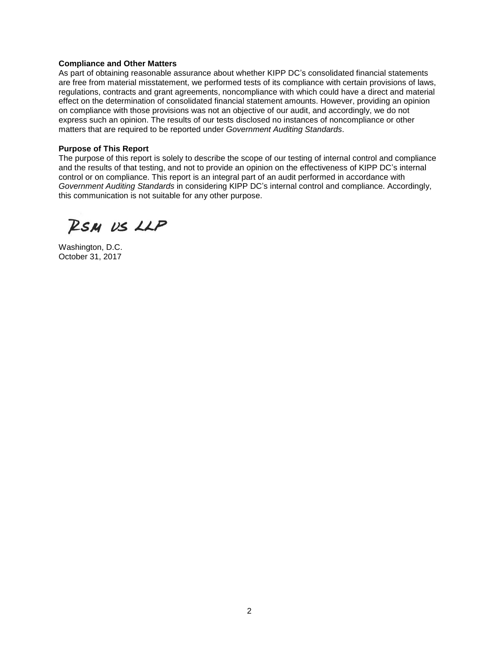#### **Compliance and Other Matters**

As part of obtaining reasonable assurance about whether KIPP DC's consolidated financial statements are free from material misstatement, we performed tests of its compliance with certain provisions of laws, regulations, contracts and grant agreements, noncompliance with which could have a direct and material effect on the determination of consolidated financial statement amounts. However, providing an opinion on compliance with those provisions was not an objective of our audit, and accordingly, we do not express such an opinion. The results of our tests disclosed no instances of noncompliance or other matters that are required to be reported under *Government Auditing Standards*.

### **Purpose of This Report**

The purpose of this report is solely to describe the scope of our testing of internal control and compliance and the results of that testing, and not to provide an opinion on the effectiveness of KIPP DC's internal control or on compliance. This report is an integral part of an audit performed in accordance with *Government Auditing Standards* in considering KIPP DC's internal control and compliance. Accordingly, this communication is not suitable for any other purpose.

RSM US LLP

Washington, D.C. October 31, 2017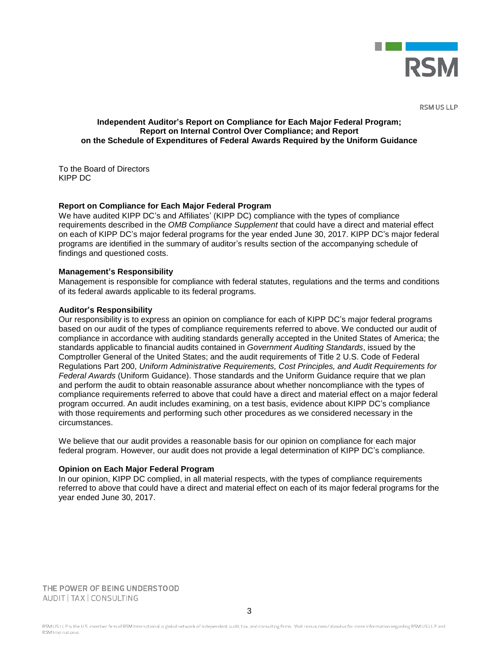

**RSM US LLP** 

#### **Independent Auditor's Report on Compliance for Each Major Federal Program; Report on Internal Control Over Compliance; and Report on the Schedule of Expenditures of Federal Awards Required by the Uniform Guidance**

To the Board of Directors KIPP DC

#### **Report on Compliance for Each Major Federal Program**

We have audited KIPP DC's and Affiliates' (KIPP DC) compliance with the types of compliance requirements described in the *OMB Compliance Supplement* that could have a direct and material effect on each of KIPP DC's major federal programs for the year ended June 30, 2017. KIPP DC's major federal programs are identified in the summary of auditor's results section of the accompanying schedule of findings and questioned costs.

#### **Management's Responsibility**

Management is responsible for compliance with federal statutes, regulations and the terms and conditions of its federal awards applicable to its federal programs.

#### **Auditor's Responsibility**

Our responsibility is to express an opinion on compliance for each of KIPP DC's major federal programs based on our audit of the types of compliance requirements referred to above. We conducted our audit of compliance in accordance with auditing standards generally accepted in the United States of America; the standards applicable to financial audits contained in *Government Auditing Standards*, issued by the Comptroller General of the United States; and the audit requirements of Title 2 U.S. Code of Federal Regulations Part 200, *Uniform Administrative Requirements, Cost Principles, and Audit Requirements for Federal Awards* (Uniform Guidance). Those standards and the Uniform Guidance require that we plan and perform the audit to obtain reasonable assurance about whether noncompliance with the types of compliance requirements referred to above that could have a direct and material effect on a major federal program occurred. An audit includes examining, on a test basis, evidence about KIPP DC's compliance with those requirements and performing such other procedures as we considered necessary in the circumstances.

We believe that our audit provides a reasonable basis for our opinion on compliance for each major federal program. However, our audit does not provide a legal determination of KIPP DC's compliance.

#### **Opinion on Each Major Federal Program**

In our opinion, KIPP DC complied, in all material respects, with the types of compliance requirements referred to above that could have a direct and material effect on each of its major federal programs for the year ended June 30, 2017.

THE POWER OF BEING UNDERSTOOD AUDIT | TAX | CONSULTING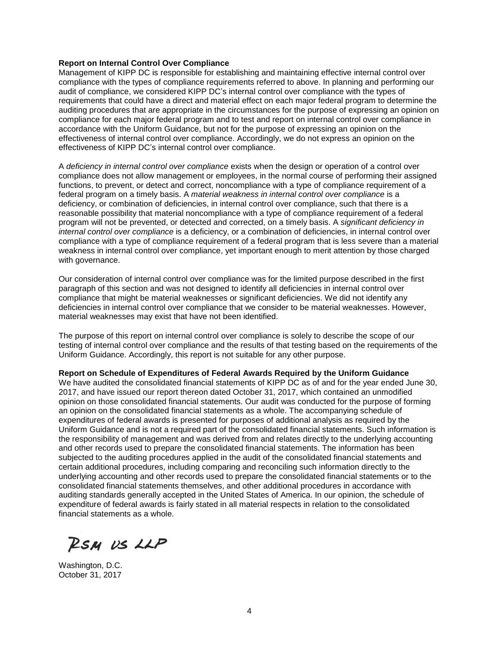#### **Report on Internal Control Over Compliance**

Management of KIPP DC is responsible for establishing and maintaining effective internal control over compliance with the types of compliance requirements referred to above. In planning and performing our audit of compliance, we considered KIPP DC's internal control over compliance with the types of requirements that could have a direct and material effect on each major federal program to determine the auditing procedures that are appropriate in the circumstances for the purpose of expressing an opinion on compliance for each major federal program and to test and report on internal control over compliance in accordance with the Uniform Guidance, but not for the purpose of expressing an opinion on the effectiveness of internal control over compliance. Accordingly, we do not express an opinion on the effectiveness of KIPP DC's internal control over compliance.

A *deficiency in internal control over compliance* exists when the design or operation of a control over compliance does not allow management or employees, in the normal course of performing their assigned functions, to prevent, or detect and correct, noncompliance with a type of compliance requirement of a federal program on a timely basis. A *material weakness in internal control over compliance* is a deficiency, or combination of deficiencies, in internal control over compliance, such that there is a reasonable possibility that material noncompliance with a type of compliance requirement of a federal program will not be prevented, or detected and corrected, on a timely basis. A *significant deficiency in internal control over compliance* is a deficiency, or a combination of deficiencies, in internal control over compliance with a type of compliance requirement of a federal program that is less severe than a material weakness in internal control over compliance, yet important enough to merit attention by those charged with governance.

Our consideration of internal control over compliance was for the limited purpose described in the first paragraph of this section and was not designed to identify all deficiencies in internal control over compliance that might be material weaknesses or significant deficiencies. We did not identify any deficiencies in internal control over compliance that we consider to be material weaknesses. However, material weaknesses may exist that have not been identified.

The purpose of this report on internal control over compliance is solely to describe the scope of our testing of internal control over compliance and the results of that testing based on the requirements of the Uniform Guidance. Accordingly, this report is not suitable for any other purpose.

#### **Report on Schedule of Expenditures of Federal Awards Required by the Uniform Guidance**

We have audited the consolidated financial statements of KIPP DC as of and for the year ended June 30, 2017, and have issued our report thereon dated October 31, 2017, which contained an unmodified opinion on those consolidated financial statements. Our audit was conducted for the purpose of forming an opinion on the consolidated financial statements as a whole. The accompanying schedule of expenditures of federal awards is presented for purposes of additional analysis as required by the Uniform Guidance and is not a required part of the consolidated financial statements. Such information is the responsibility of management and was derived from and relates directly to the underlying accounting and other records used to prepare the consolidated financial statements. The information has been subjected to the auditing procedures applied in the audit of the consolidated financial statements and certain additional procedures, including comparing and reconciling such information directly to the underlying accounting and other records used to prepare the consolidated financial statements or to the consolidated financial statements themselves, and other additional procedures in accordance with auditing standards generally accepted in the United States of America. In our opinion, the schedule of expenditure of federal awards is fairly stated in all material respects in relation to the consolidated financial statements as a whole.

RSM US LLP

Washington, D.C. October 31, 2017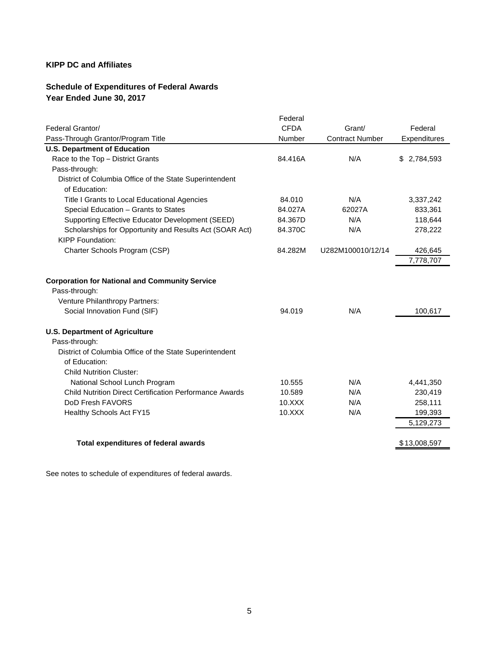# **Schedule of Expenditures of Federal Awards Year Ended June 30, 2017**

|                                                                | Federal     |                        |              |
|----------------------------------------------------------------|-------------|------------------------|--------------|
| Federal Grantor/                                               | <b>CFDA</b> | Grant/                 | Federal      |
| Pass-Through Grantor/Program Title                             | Number      | <b>Contract Number</b> | Expenditures |
| <b>U.S. Department of Education</b>                            |             |                        |              |
| Race to the Top - District Grants                              | 84.416A     | N/A                    | \$2,784,593  |
| Pass-through:                                                  |             |                        |              |
| District of Columbia Office of the State Superintendent        |             |                        |              |
| of Education:                                                  |             |                        |              |
| Title I Grants to Local Educational Agencies                   | 84.010      | N/A                    | 3,337,242    |
| Special Education - Grants to States                           | 84.027A     | 62027A                 | 833,361      |
| Supporting Effective Educator Development (SEED)               | 84.367D     | N/A                    | 118,644      |
| Scholarships for Opportunity and Results Act (SOAR Act)        | 84.370C     | N/A                    | 278,222      |
| KIPP Foundation:                                               |             |                        |              |
| Charter Schools Program (CSP)                                  | 84.282M     | U282M100010/12/14      | 426,645      |
|                                                                |             |                        | 7,778,707    |
|                                                                |             |                        |              |
| <b>Corporation for National and Community Service</b>          |             |                        |              |
| Pass-through:                                                  |             |                        |              |
| Venture Philanthropy Partners:                                 |             |                        |              |
| Social Innovation Fund (SIF)                                   | 94.019      | N/A                    | 100,617      |
| <b>U.S. Department of Agriculture</b>                          |             |                        |              |
| Pass-through:                                                  |             |                        |              |
| District of Columbia Office of the State Superintendent        |             |                        |              |
| of Education:                                                  |             |                        |              |
| <b>Child Nutrition Cluster:</b>                                |             |                        |              |
| National School Lunch Program                                  | 10.555      | N/A                    | 4,441,350    |
| <b>Child Nutrition Direct Certification Performance Awards</b> | 10.589      | N/A                    | 230,419      |
| DoD Fresh FAVORS                                               | 10.XXX      | N/A                    | 258,111      |
| Healthy Schools Act FY15                                       | 10.XXX      | N/A                    | 199,393      |
|                                                                |             |                        | 5,129,273    |
|                                                                |             |                        |              |
| <b>Total expenditures of federal awards</b>                    |             |                        | \$13,008,597 |

See notes to schedule of expenditures of federal awards.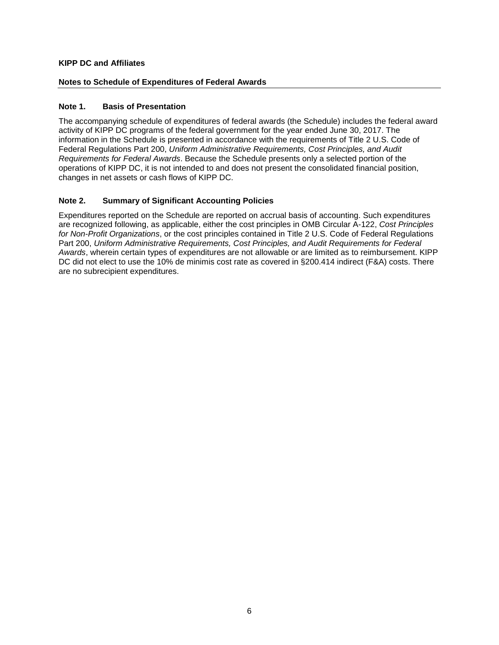## **Notes to Schedule of Expenditures of Federal Awards**

# **Note 1. Basis of Presentation**

The accompanying schedule of expenditures of federal awards (the Schedule) includes the federal award activity of KIPP DC programs of the federal government for the year ended June 30, 2017. The information in the Schedule is presented in accordance with the requirements of Title 2 U.S. Code of Federal Regulations Part 200, *Uniform Administrative Requirements, Cost Principles, and Audit Requirements for Federal Awards*. Because the Schedule presents only a selected portion of the operations of KIPP DC, it is not intended to and does not present the consolidated financial position, changes in net assets or cash flows of KIPP DC.

# **Note 2. Summary of Significant Accounting Policies**

Expenditures reported on the Schedule are reported on accrual basis of accounting. Such expenditures are recognized following, as applicable, either the cost principles in OMB Circular A-122, *Cost Principles for Non-Profit Organizations*, or the cost principles contained in Title 2 U.S. Code of Federal Regulations Part 200, *Uniform Administrative Requirements, Cost Principles, and Audit Requirements for Federal Awards*, wherein certain types of expenditures are not allowable or are limited as to reimbursement. KIPP DC did not elect to use the 10% de minimis cost rate as covered in §200.414 indirect (F&A) costs. There are no subrecipient expenditures.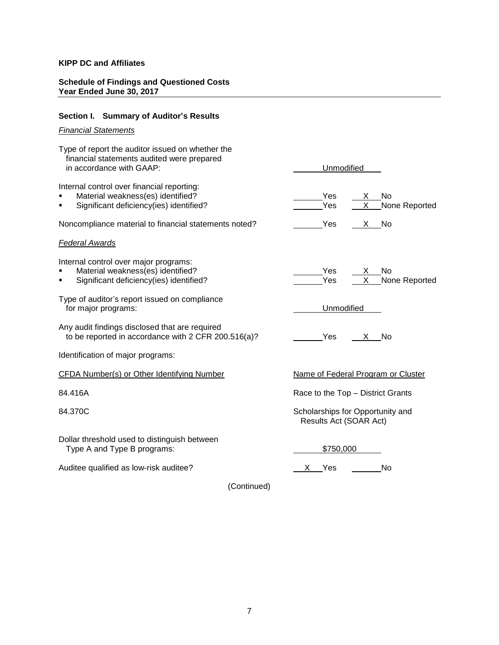## **Schedule of Findings and Questioned Costs Year Ended June 30, 2017**

# **Section I. Summary of Auditor's Results**

# *Financial Statements*

| Type of report the auditor issued on whether the<br>financial statements audited were prepared<br>in accordance with GAAP: | Unmodified                                                 |  |  |
|----------------------------------------------------------------------------------------------------------------------------|------------------------------------------------------------|--|--|
| Internal control over financial reporting:<br>Material weakness(es) identified?<br>Significant deficiency(ies) identified? | Yes<br>No<br>X<br>X<br>Yes<br>None Reported                |  |  |
| Noncompliance material to financial statements noted?                                                                      | Yes<br>X No                                                |  |  |
| <b>Federal Awards</b>                                                                                                      |                                                            |  |  |
| Internal control over major programs:<br>Material weakness(es) identified?<br>Significant deficiency(ies) identified?      | Yes<br>No<br>X.<br>None Reported<br>Yes<br>X.              |  |  |
| Type of auditor's report issued on compliance<br>for major programs:                                                       | Unmodified                                                 |  |  |
| Any audit findings disclosed that are required<br>to be reported in accordance with 2 CFR 200.516(a)?                      | Yes<br>No<br>X.                                            |  |  |
| Identification of major programs:                                                                                          |                                                            |  |  |
| CFDA Number(s) or Other Identifying Number                                                                                 | Name of Federal Program or Cluster                         |  |  |
| 84.416A                                                                                                                    | Race to the Top - District Grants                          |  |  |
| 84.370C                                                                                                                    | Scholarships for Opportunity and<br>Results Act (SOAR Act) |  |  |
| Dollar threshold used to distinguish between<br>Type A and Type B programs:                                                | \$750,000                                                  |  |  |
| Auditee qualified as low-risk auditee?                                                                                     | Yes<br>No<br>X.                                            |  |  |
| (Continued)                                                                                                                |                                                            |  |  |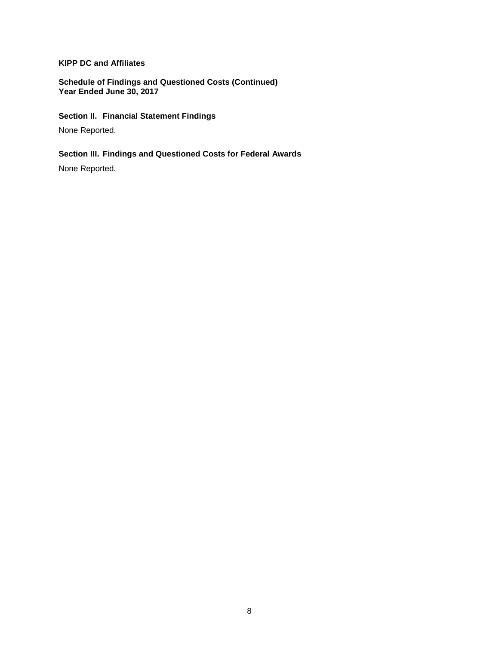## **Schedule of Findings and Questioned Costs (Continued) Year Ended June 30, 2017**

## **Section II. Financial Statement Findings**

None Reported.

# **Section III. Findings and Questioned Costs for Federal Awards**

None Reported.